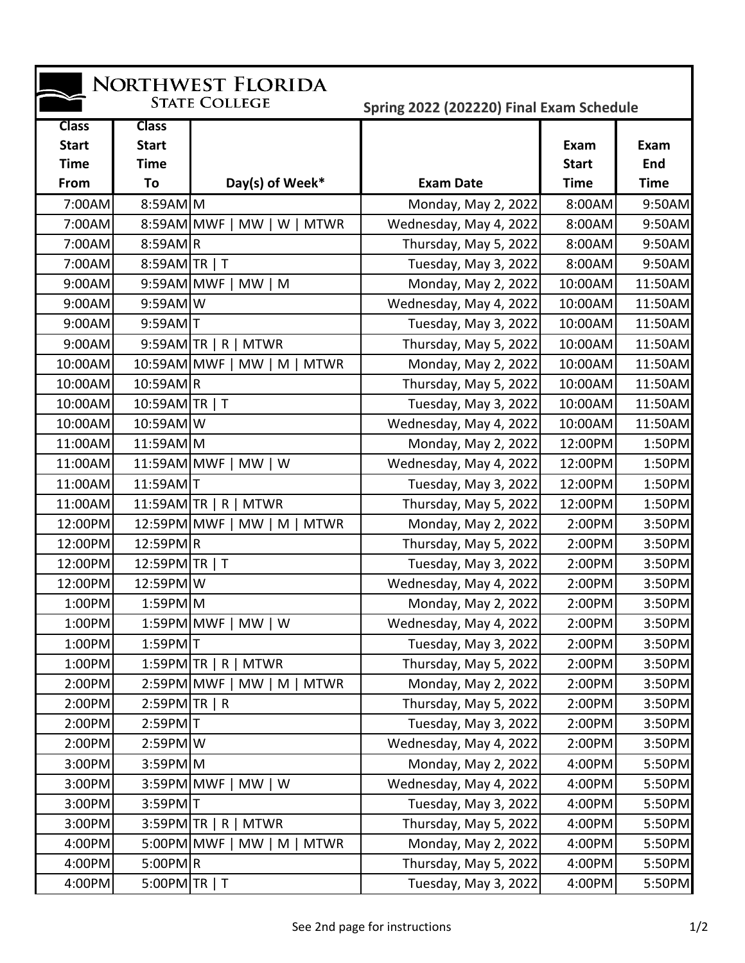| NORTHWEST FLORIDA                                                |                                             |                                       |                        |                      |                    |  |  |  |
|------------------------------------------------------------------|---------------------------------------------|---------------------------------------|------------------------|----------------------|--------------------|--|--|--|
| <b>STATE COLLEGE</b><br>Spring 2022 (202220) Final Exam Schedule |                                             |                                       |                        |                      |                    |  |  |  |
| <b>Class</b><br><b>Start</b><br><b>Time</b>                      | <b>Class</b><br><b>Start</b><br><b>Time</b> |                                       |                        | Exam<br><b>Start</b> | Exam<br><b>End</b> |  |  |  |
| From                                                             | To                                          | Day(s) of Week*                       | <b>Exam Date</b>       | <b>Time</b>          | <b>Time</b>        |  |  |  |
| 7:00AM                                                           | $8:59AM$ M                                  |                                       | Monday, May 2, 2022    | 8:00AM               | 9:50AM             |  |  |  |
| 7:00AM                                                           |                                             | 8:59AM MWF   MW   W   MTWR            | Wednesday, May 4, 2022 | 8:00AM               | 9:50AM             |  |  |  |
| 7:00AM                                                           | $8:59AM$ <sub>R</sub>                       |                                       | Thursday, May 5, 2022  | 8:00AM               | 9:50AM             |  |  |  |
| 7:00AM                                                           | 8:59AM TR   T                               |                                       | Tuesday, May 3, 2022   | 8:00AM               | 9:50AM             |  |  |  |
| 9:00AM                                                           | 9:59AM MWF                                  | $MW \mid M$                           | Monday, May 2, 2022    | 10:00AM              | 11:50AM            |  |  |  |
| 9:00AM                                                           | $9:59AM$ W                                  |                                       | Wednesday, May 4, 2022 | 10:00AM              | 11:50AM            |  |  |  |
| 9:00AM                                                           | $9:59AM$ T                                  |                                       | Tuesday, May 3, 2022   | 10:00AM              | 11:50AM            |  |  |  |
| 9:00AM                                                           |                                             | $9:59AM$ TR   R   MTWR                | Thursday, May 5, 2022  | 10:00AM              | 11:50AM            |  |  |  |
| 10:00AM                                                          |                                             | 10:59AM MWF   MW   M  <br><b>MTWR</b> | Monday, May 2, 2022    | 10:00AM              | 11:50AM            |  |  |  |
| 10:00AM                                                          | $10:59AM$ R                                 |                                       | Thursday, May 5, 2022  | 10:00AM              | 11:50AM            |  |  |  |
| 10:00AM                                                          | 10:59AM TR   T                              |                                       | Tuesday, May 3, 2022   | 10:00AM              | 11:50AM            |  |  |  |
| 10:00AM                                                          | 10:59AMW                                    |                                       | Wednesday, May 4, 2022 | 10:00AM              | 11:50AM            |  |  |  |
| 11:00AM                                                          | 11:59AM M                                   |                                       | Monday, May 2, 2022    | 12:00PM              | 1:50PM             |  |  |  |
| 11:00AM                                                          |                                             | 11:59AM MWF   MW   W                  | Wednesday, May 4, 2022 | 12:00PM              | 1:50PM             |  |  |  |
| 11:00AM                                                          | 11:59AM T                                   |                                       | Tuesday, May 3, 2022   | 12:00PM              | 1:50PM             |  |  |  |
| 11:00AM                                                          |                                             | $11:59AM$ TR   R   MTWR               | Thursday, May 5, 2022  | 12:00PM              | 1:50PM             |  |  |  |
| 12:00PM                                                          |                                             | 12:59PM MWF   MW   M  <br><b>MTWR</b> | Monday, May 2, 2022    | 2:00PM               | 3:50PM             |  |  |  |
| 12:00PM                                                          | 12:59PMR                                    |                                       | Thursday, May 5, 2022  | 2:00PM               | 3:50PM             |  |  |  |
| 12:00PM                                                          | 12:59PM TR   T                              |                                       | Tuesday, May 3, 2022   | 2:00PM               | 3:50PM             |  |  |  |
| 12:00PM                                                          | 12:59PMW                                    |                                       | Wednesday, May 4, 2022 | 2:00PM               | 3:50PM             |  |  |  |
| 1:00PM                                                           | $1:59PM$ M                                  |                                       | Monday, May 2, 2022    | 2:00PM               | 3:50PM             |  |  |  |
| 1:00PM                                                           |                                             | $1:59PM$ MWF   MW   W                 | Wednesday, May 4, 2022 | 2:00PM               | 3:50PM             |  |  |  |
| 1:00PM                                                           | $1:59PM$ <sup>T</sup>                       |                                       | Tuesday, May 3, 2022   | 2:00PM               | 3:50PM             |  |  |  |
| 1:00PM                                                           |                                             | $1:59PM$ TR   R   MTWR                | Thursday, May 5, 2022  | 2:00PM               | 3:50PM             |  |  |  |
| 2:00PM                                                           |                                             | $2:59PM$ MWF   MW   M   MTWR          | Monday, May 2, 2022    | 2:00PM               | 3:50PM             |  |  |  |
| 2:00PM                                                           | $2:59PM$ TR   R                             |                                       | Thursday, May 5, 2022  | 2:00PM               | 3:50PM             |  |  |  |
| 2:00PM                                                           | $2:59PM$ <sup>T</sup>                       |                                       | Tuesday, May 3, 2022   | 2:00PM               | 3:50PM             |  |  |  |
| 2:00PM                                                           | $2:59PM$ W                                  |                                       | Wednesday, May 4, 2022 | 2:00PM               | 3:50PM             |  |  |  |
| 3:00PM                                                           | $3:59PM$ M                                  |                                       | Monday, May 2, 2022    | 4:00PM               | 5:50PM             |  |  |  |
| 3:00PM                                                           |                                             | 3:59PM MWF   MW   W                   | Wednesday, May 4, 2022 | 4:00PM               | 5:50PM             |  |  |  |
| 3:00PM                                                           | $3:59PM$ <sup>T</sup>                       |                                       | Tuesday, May 3, 2022   | 4:00PM               | 5:50PM             |  |  |  |
| 3:00PM                                                           |                                             | $3:59PM$ TR   R   MTWR                | Thursday, May 5, 2022  | 4:00PM               | 5:50PM             |  |  |  |
| 4:00PM                                                           | 5:00PM MWF                                  | MW   M   MTWR                         | Monday, May 2, 2022    | 4:00PM               | 5:50PM             |  |  |  |
| 4:00PM                                                           | $5:00PM$ R                                  |                                       | Thursday, May 5, 2022  | 4:00PM               | 5:50PM             |  |  |  |
| 4:00PM                                                           | $5:00PM$ TR   T                             |                                       | Tuesday, May 3, 2022   | 4:00PM               | 5:50PM             |  |  |  |